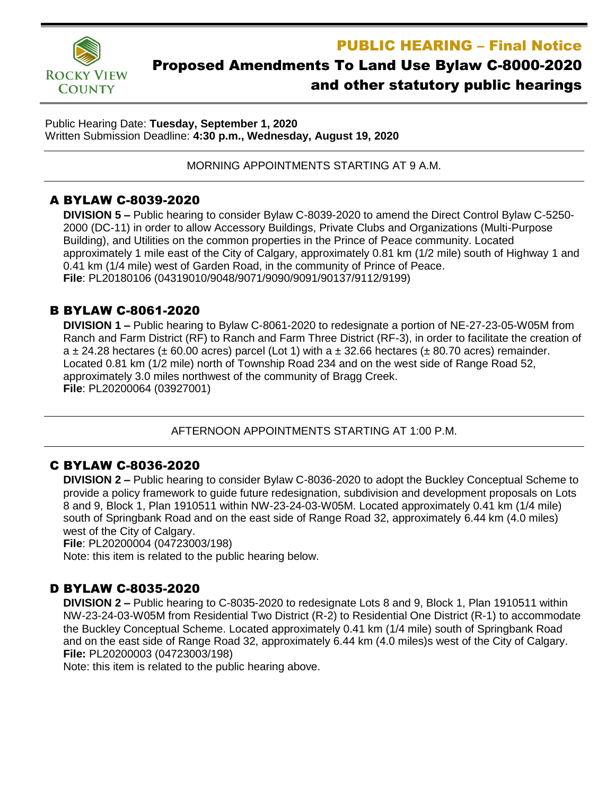

# PUBLIC HEARING – Final Notice Proposed Amendments To Land Use Bylaw C-8000-2020 and other statutory public hearings

Public Hearing Date: **Tuesday, September 1, 2020** Written Submission Deadline: **4:30 p.m., Wednesday, August 19, 2020**

MORNING APPOINTMENTS STARTING AT 9 A.M.

### A BYLAW C-8039-2020

**DIVISION 5 –** Public hearing to consider Bylaw C-8039-2020 to amend the Direct Control Bylaw C-5250- 2000 (DC-11) in order to allow Accessory Buildings, Private Clubs and Organizations (Multi-Purpose Building), and Utilities on the common properties in the Prince of Peace community. Located approximately 1 mile east of the City of Calgary, approximately 0.81 km (1/2 mile) south of Highway 1 and 0.41 km (1/4 mile) west of Garden Road, in the community of Prince of Peace. **File**: PL20180106 (04319010/9048/9071/9090/9091/90137/9112/9199)

#### B BYLAW C-8061-2020

**DIVISION 1 –** Public hearing to Bylaw C-8061-2020 to redesignate a portion of NE-27-23-05-W05M from Ranch and Farm District (RF) to Ranch and Farm Three District (RF-3), in order to facilitate the creation of  $a \pm 24.28$  hectares ( $\pm 60.00$  acres) parcel (Lot 1) with a  $\pm 32.66$  hectares ( $\pm 80.70$  acres) remainder. Located 0.81 km (1/2 mile) north of Township Road 234 and on the west side of Range Road 52, approximately 3.0 miles northwest of the community of Bragg Creek. **File**: PL20200064 (03927001)

AFTERNOON APPOINTMENTS STARTING AT 1:00 P.M.

## C BYLAW C-8036-2020

**DIVISION 2 –** Public hearing to consider Bylaw C-8036-2020 to adopt the Buckley Conceptual Scheme to provide a policy framework to guide future redesignation, subdivision and development proposals on Lots 8 and 9, Block 1, Plan 1910511 within NW-23-24-03-W05M. Located approximately 0.41 km (1/4 mile) south of Springbank Road and on the east side of Range Road 32, approximately 6.44 km (4.0 miles) west of the City of Calgary.

**File**: PL20200004 (04723003/198)

Note: this item is related to the public hearing below.

#### D BYLAW C-8035-2020

**DIVISION 2 –** Public hearing to C-8035-2020 to redesignate Lots 8 and 9, Block 1, Plan 1910511 within NW-23-24-03-W05M from Residential Two District (R-2) to Residential One District (R-1) to accommodate the Buckley Conceptual Scheme. Located approximately 0.41 km (1/4 mile) south of Springbank Road and on the east side of Range Road 32, approximately 6.44 km (4.0 miles)s west of the City of Calgary. **File:** PL20200003 (04723003/198)

Note: this item is related to the public hearing above.